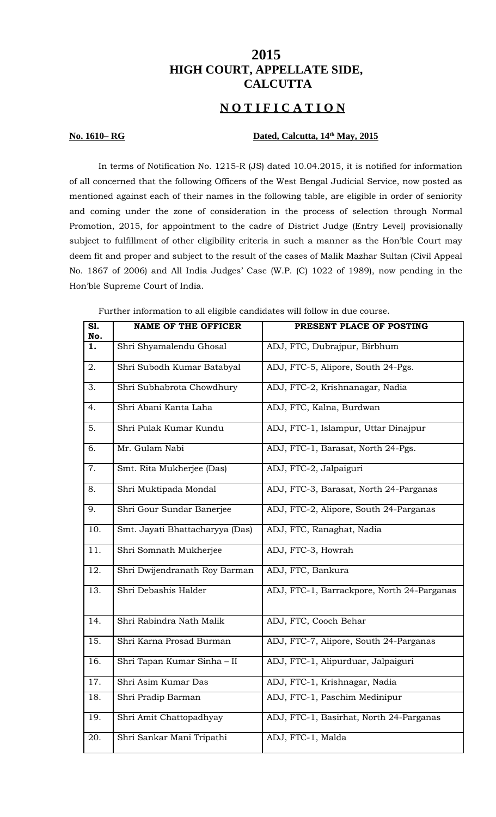# **2015 HIGH COURT, APPELLATE SIDE, CALCUTTA**

## **N O T I F I C A T I O N**

## **No. 1610– RG** Dated, Calcutta, 14<sup>th</sup> May, 2015

In terms of Notification No. 1215-R (JS) dated 10.04.2015, it is notified for information of all concerned that the following Officers of the West Bengal Judicial Service, now posted as mentioned against each of their names in the following table, are eligible in order of seniority and coming under the zone of consideration in the process of selection through Normal Promotion, 2015, for appointment to the cadre of District Judge (Entry Level) provisionally subject to fulfillment of other eligibility criteria in such a manner as the Hon'ble Court may deem fit and proper and subject to the result of the cases of Malik Mazhar Sultan (Civil Appeal No. 1867 of 2006) and All India Judges' Case (W.P. (C) 1022 of 1989), now pending in the Hon'ble Supreme Court of India.

Further information to all eligible candidates will follow in due course.

| S1.              | <b>NAME OF THE OFFICER</b>      | PRESENT PLACE OF POSTING                   |
|------------------|---------------------------------|--------------------------------------------|
| No.<br>1.        | Shri Shyamalendu Ghosal         | ADJ, FTC, Dubrajpur, Birbhum               |
| 2.               | Shri Subodh Kumar Batabyal      | ADJ, FTC-5, Alipore, South 24-Pgs.         |
| 3.               | Shri Subhabrota Chowdhury       | ADJ, FTC-2, Krishnanagar, Nadia            |
| 4.               | Shri Abani Kanta Laha           | ADJ, FTC, Kalna, Burdwan                   |
| 5.               | Shri Pulak Kumar Kundu          | ADJ, FTC-1, Islampur, Uttar Dinajpur       |
| 6.               | Mr. Gulam Nabi                  | ADJ, FTC-1, Barasat, North 24-Pgs.         |
| 7.               | Smt. Rita Mukherjee (Das)       | ADJ, FTC-2, Jalpaiguri                     |
| 8.               | Shri Muktipada Mondal           | ADJ, FTC-3, Barasat, North 24-Parganas     |
| 9.               | Shri Gour Sundar Banerjee       | ADJ, FTC-2, Alipore, South 24-Parganas     |
| 10.              | Smt. Jayati Bhattacharyya (Das) | ADJ, FTC, Ranaghat, Nadia                  |
| 11.              | Shri Somnath Mukherjee          | ADJ, FTC-3, Howrah                         |
| 12.              | Shri Dwijendranath Roy Barman   | ADJ, FTC, Bankura                          |
| 13.              | Shri Debashis Halder            | ADJ, FTC-1, Barrackpore, North 24-Parganas |
| 14.              | Shri Rabindra Nath Malik        | ADJ, FTC, Cooch Behar                      |
| 15.              | Shri Karna Prosad Burman        | ADJ, FTC-7, Alipore, South 24-Parganas     |
| 16.              | Shri Tapan Kumar Sinha - II     | ADJ, FTC-1, Alipurduar, Jalpaiguri         |
| $\overline{1}7.$ | Shri Asim Kumar Das             | ADJ, FTC-1, Krishnagar, Nadia              |
| 18.              | Shri Pradip Barman              | ADJ, FTC-1, Paschim Medinipur              |
| 19.              | Shri Amit Chattopadhyay         | ADJ, FTC-1, Basirhat, North 24-Parganas    |
| 20.              | Shri Sankar Mani Tripathi       | ADJ, FTC-1, Malda                          |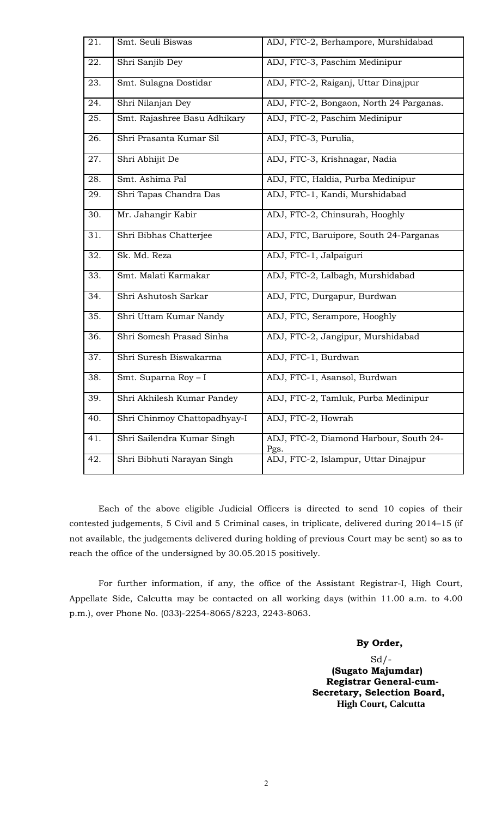| 21. | Smt. Seuli Biswas            | ADJ, FTC-2, Berhampore, Murshidabad            |
|-----|------------------------------|------------------------------------------------|
| 22. | Shri Sanjib Dey              | ADJ, FTC-3, Paschim Medinipur                  |
| 23. | Smt. Sulagna Dostidar        | ADJ, FTC-2, Raiganj, Uttar Dinajpur            |
| 24. | Shri Nilanjan Dey            | ADJ, FTC-2, Bongaon, North 24 Parganas.        |
| 25. | Smt. Rajashree Basu Adhikary | ADJ, FTC-2, Paschim Medinipur                  |
| 26. | Shri Prasanta Kumar Sil      | ADJ, FTC-3, Purulia,                           |
| 27. | Shri Abhijit De              | ADJ, FTC-3, Krishnagar, Nadia                  |
| 28. | Smt. Ashima Pal              | ADJ, FTC, Haldia, Purba Medinipur              |
| 29. | Shri Tapas Chandra Das       | ADJ, FTC-1, Kandi, Murshidabad                 |
| 30. | Mr. Jahangir Kabir           | ADJ, FTC-2, Chinsurah, Hooghly                 |
| 31. | Shri Bibhas Chatterjee       | ADJ, FTC, Baruipore, South 24-Parganas         |
| 32. | Sk. Md. Reza                 | ADJ, FTC-1, Jalpaiguri                         |
| 33. | Smt. Malati Karmakar         | ADJ, FTC-2, Lalbagh, Murshidabad               |
| 34. | Shri Ashutosh Sarkar         | ADJ, FTC, Durgapur, Burdwan                    |
| 35. | Shri Uttam Kumar Nandy       | ADJ, FTC, Serampore, Hooghly                   |
| 36. | Shri Somesh Prasad Sinha     | ADJ, FTC-2, Jangipur, Murshidabad              |
| 37. | Shri Suresh Biswakarma       | ADJ, FTC-1, Burdwan                            |
| 38. | Smt. Suparna Roy - I         | ADJ, FTC-1, Asansol, Burdwan                   |
| 39. | Shri Akhilesh Kumar Pandey   | ADJ, FTC-2, Tamluk, Purba Medinipur            |
| 40. | Shri Chinmoy Chattopadhyay-I | ADJ, FTC-2, Howrah                             |
| 41. | Shri Sailendra Kumar Singh   | ADJ, FTC-2, Diamond Harbour, South 24-<br>Pgs. |
| 42. | Shri Bibhuti Narayan Singh   | ADJ, FTC-2, Islampur, Uttar Dinajpur           |

Each of the above eligible Judicial Officers is directed to send 10 copies of their contested judgements, 5 Civil and 5 Criminal cases, in triplicate, delivered during 2014–15 (if not available, the judgements delivered during holding of previous Court may be sent) so as to reach the office of the undersigned by 30.05.2015 positively.

For further information, if any, the office of the Assistant Registrar-I, High Court, Appellate Side, Calcutta may be contacted on all working days (within 11.00 a.m. to 4.00 p.m.), over Phone No. (033)-2254-8065/8223, 2243-8063.

## **By Order,**

 $Sd$  /-**(Sugato Majumdar) Registrar General-cum-Secretary, Selection Board, High Court, Calcutta**